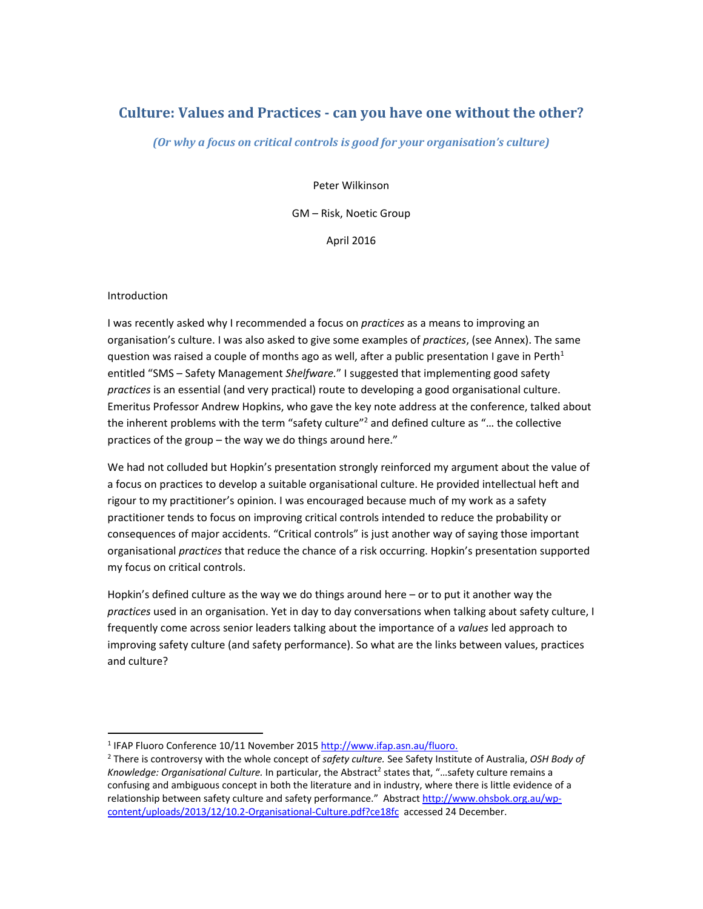# **Culture: Values and Practices ‐ can you have one without the other?**

*(Or why a focus on critical controls is good for your organisation's culture)*

Peter Wilkinson

GM – Risk, Noetic Group

April 2016

#### Introduction

I was recently asked why I recommended a focus on *practices* as a means to improving an organisation's culture. I was also asked to give some examples of *practices*, (see Annex). The same question was raised a couple of months ago as well, after a public presentation I gave in Perth<sup>1</sup> entitled "SMS – Safety Management *Shelfware.*" I suggested that implementing good safety *practices* is an essential (and very practical) route to developing a good organisational culture. Emeritus Professor Andrew Hopkins, who gave the key note address at the conference, talked about the inherent problems with the term "safety culture"<sup>2</sup> and defined culture as " $\dots$  the collective practices of the group – the way we do things around here."

We had not colluded but Hopkin's presentation strongly reinforced my argument about the value of a focus on practices to develop a suitable organisational culture. He provided intellectual heft and rigour to my practitioner's opinion. I was encouraged because much of my work as a safety practitioner tends to focus on improving critical controls intended to reduce the probability or consequences of major accidents. "Critical controls" is just another way of saying those important organisational *practices* that reduce the chance of a risk occurring. Hopkin's presentation supported my focus on critical controls.

Hopkin's defined culture as the way we do things around here – or to put it another way the *practices* used in an organisation. Yet in day to day conversations when talking about safety culture, I frequently come across senior leaders talking about the importance of a *values* led approach to improving safety culture (and safety performance). So what are the links between values, practices and culture?

<sup>&</sup>lt;sup>1</sup> IFAP Fluoro Conference 10/11 November 2015 http://www.ifap.asn.au/fluoro.

<sup>2</sup> There is controversy with the whole concept of *safety culture.* See Safety Institute of Australia, *OSH Body of Knowledge: Organisational Culture.* In particular, the Abstract<sup>2</sup> states that, "...safety culture remains a confusing and ambiguous concept in both the literature and in industry, where there is little evidence of a relationship between safety culture and safety performance." Abstract http://www.ohsbok.org.au/wp‐ content/uploads/2013/12/10.2‐Organisational‐Culture.pdf?ce18fc accessed 24 December.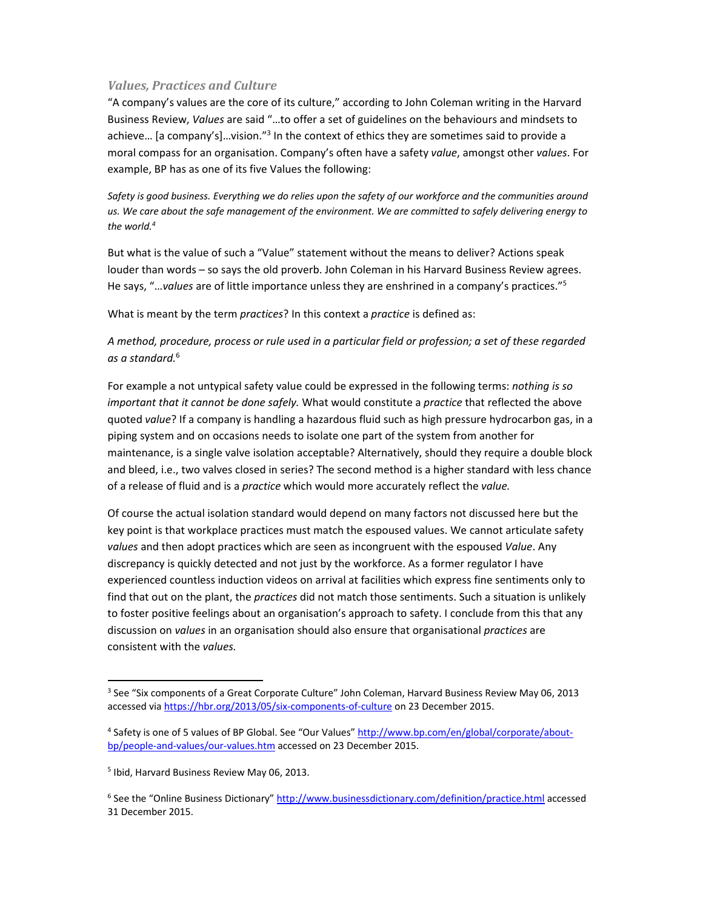## *Values, Practices and Culture*

"A company's values are the core of its culture," according to John Coleman writing in the Harvard Business Review, *Values* are said "…to offer a set of guidelines on the behaviours and mindsets to achieve... [a company's]...vision."<sup>3</sup> In the context of ethics they are sometimes said to provide a moral compass for an organisation. Company's often have a safety *value*, amongst other *values*. For example, BP has as one of its five Values the following:

Safety is good business. Everything we do relies upon the safety of our workforce and the communities around us. We care about the safe management of the environment. We are committed to safely delivering energy to *the world.4*

But what is the value of such a "Value" statement without the means to deliver? Actions speak louder than words – so says the old proverb. John Coleman in his Harvard Business Review agrees. He says, "…*values* are of little importance unless they are enshrined in a company's practices."5

What is meant by the term *practices*? In this context a *practice* is defined as:

A method, procedure, process or rule used in a particular field or profession; a set of these regarded *as a standard.*<sup>6</sup>

For example a not untypical safety value could be expressed in the following terms: *nothing is so important that it cannot be done safely.* What would constitute a *practice* that reflected the above quoted *value*? If a company is handling a hazardous fluid such as high pressure hydrocarbon gas, in a piping system and on occasions needs to isolate one part of the system from another for maintenance, is a single valve isolation acceptable? Alternatively, should they require a double block and bleed, i.e., two valves closed in series? The second method is a higher standard with less chance of a release of fluid and is a *practice* which would more accurately reflect the *value.*

Of course the actual isolation standard would depend on many factors not discussed here but the key point is that workplace practices must match the espoused values. We cannot articulate safety *values* and then adopt practices which are seen as incongruent with the espoused *Value*. Any discrepancy is quickly detected and not just by the workforce. As a former regulator I have experienced countless induction videos on arrival at facilities which express fine sentiments only to find that out on the plant, the *practices* did not match those sentiments. Such a situation is unlikely to foster positive feelings about an organisation's approach to safety. I conclude from this that any discussion on *values* in an organisation should also ensure that organisational *practices* are consistent with the *values.* 

<sup>3</sup> See "Six components of a Great Corporate Culture" John Coleman, Harvard Business Review May 06, 2013 accessed via https://hbr.org/2013/05/six-components-of-culture on 23 December 2015.

<sup>4</sup> Safety is one of 5 values of BP Global. See "Our Values" http://www.bp.com/en/global/corporate/aboutbp/people‐and‐values/our‐values.htm accessed on 23 December 2015.

<sup>5</sup> Ibid, Harvard Business Review May 06, 2013.

<sup>6</sup> See the "Online Business Dictionary" http://www.businessdictionary.com/definition/practice.html accessed 31 December 2015.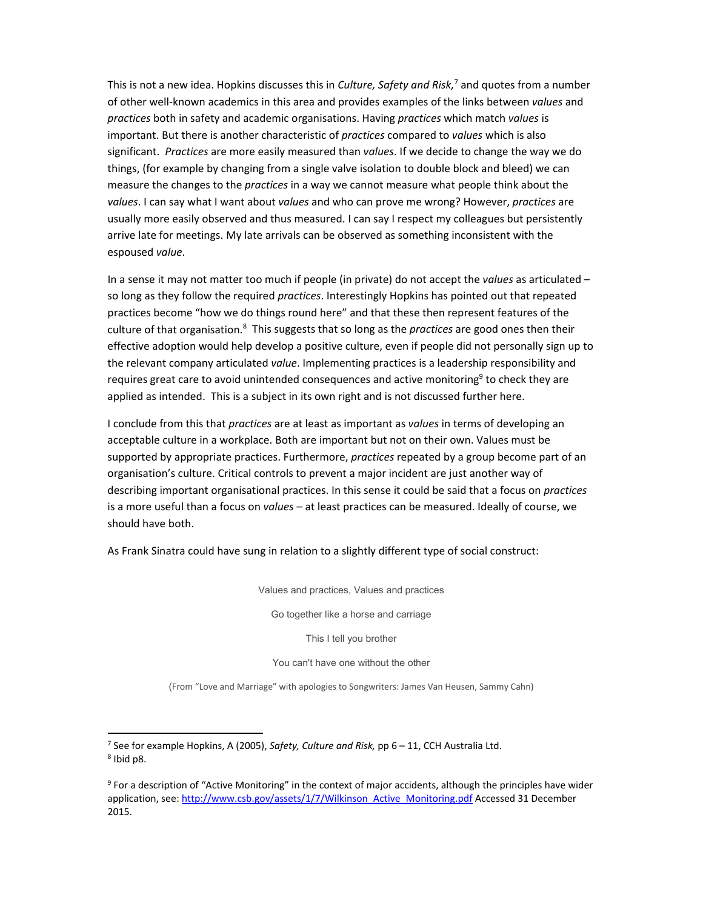This is not a new idea. Hopkins discusses this in *Culture, Safety and Risk,*<sup>7</sup> and quotes from a number of other well‐known academics in this area and provides examples of the links between *values* and *practices* both in safety and academic organisations. Having *practices* which match *values* is important. But there is another characteristic of *practices* compared to *values* which is also significant. *Practices* are more easily measured than *values*. If we decide to change the way we do things, (for example by changing from a single valve isolation to double block and bleed) we can measure the changes to the *practices* in a way we cannot measure what people think about the *values*. I can say what I want about *values* and who can prove me wrong? However, *practices* are usually more easily observed and thus measured. I can say I respect my colleagues but persistently arrive late for meetings. My late arrivals can be observed as something inconsistent with the espoused *value*.

In a sense it may not matter too much if people (in private) do not accept the *values* as articulated – so long as they follow the required *practices*. Interestingly Hopkins has pointed out that repeated practices become "how we do things round here" and that these then represent features of the culture of that organisation.<sup>8</sup> This suggests that so long as the *practices* are good ones then their effective adoption would help develop a positive culture, even if people did not personally sign up to the relevant company articulated *value*. Implementing practices is a leadership responsibility and requires great care to avoid unintended consequences and active monitoring<sup>9</sup> to check they are applied as intended. This is a subject in its own right and is not discussed further here.

I conclude from this that *practices* are at least as important as *values* in terms of developing an acceptable culture in a workplace. Both are important but not on their own. Values must be supported by appropriate practices. Furthermore, *practices* repeated by a group become part of an organisation's culture. Critical controls to prevent a major incident are just another way of describing important organisational practices. In this sense it could be said that a focus on *practices* is a more useful than a focus on *values* – at least practices can be measured. Ideally of course, we should have both.

As Frank Sinatra could have sung in relation to a slightly different type of social construct:

Values and practices, Values and practices

Go together like a horse and carriage

This I tell you brother

You can't have one without the other

(From "Love and Marriage" with apologies to Songwriters: James Van Heusen, Sammy Cahn)

<sup>7</sup> See for example Hopkins, A (2005), *Safety, Culture and Risk,* pp 6 – 11, CCH Australia Ltd. <sup>8</sup> Ibid p8.

<sup>9</sup> For a description of "Active Monitoring" in the context of major accidents, although the principles have wider application, see: http://www.csb.gov/assets/1/7/Wilkinson\_Active\_Monitoring.pdf Accessed 31 December 2015.